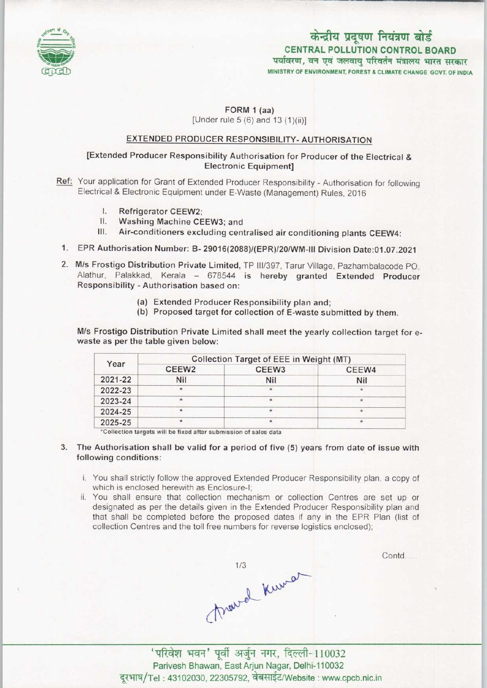

# केन्द्रीय प्रदूषण नियंत्रण बोर्ड CENTRAL POLLUTION CONTROL BOARD पर्यावरण, वन एवं जलवाय परिवर्तन मंत्रालय भारत सरकार MINISTRY OF ENVIRONMENT, FOREST & CLIMATE CHANGE GOVT. OF INDIA

## $FORM 1 (aa)$  $[Under rule 5 (6) and 13 (1)(ii)]$

## EXTENDED PRODUCER RESPONSIBILITY- AUTHORISATION

## [Extended Producer Responsibility Authorisation for Producer of the Electrical & Electronic Equipment]

- Ref: Your application for Grant of Extended Producer Responsibility Authorisation for following Electrical & Electronic Equipment under E-Waste (Management) Rules, 2016
	- I. Refrigerator CEEW2;
	- II. Washing Machine CEEW3; and<br>III. Air-conditioners excluding cent
	- Air-conditioners excluding centralised air conditioning plants CEEW4:
	- 1.EPR Authorisation Number: B-29016(2088)/(EPR)/20/WM-lll Division Date:01.07.2021
	- 2. M/s Frostigo Distribution Private Limited, TP III/397, Tarur Village, Pazhambalacode PO, Alathur, Palakkad, Kerala - 678544 is hereby granted Extended Producer Responsibility - Authorisation based on:
		- (a)Extended Producer Responsibility plan and;
		- (b) Proposed target for collection of E-waste submitted by them.

M/s Frostigo Distribution Private Limited shall meet the yearly collection target for ewaste as per the table given below:

| Year    | Collection Target of EEE in Weight (MT) |                   |            |
|---------|-----------------------------------------|-------------------|------------|
|         | CEEW <sub>2</sub>                       | CEEW <sub>3</sub> | CEEW4      |
| 2021-22 | Nil                                     | Nil               | <b>Nil</b> |
| 2022-23 |                                         | $\star$           | $\star$    |
| 2023-24 |                                         | $^{\ast}$         |            |
| 2024-25 |                                         |                   |            |
| 2025-25 |                                         |                   |            |

\*Collection targets will be fixed after submission of sales data

- 3. The Authorisation shall be valid for a period of five (5) yearsfrom date of issue with following conditions:
	- i. You shall strictly follow the approved Extended Producer Responsibility plan, a copy of which is enclosed herewith as Enclosure-I;
	- ii. You shall ensure that collection mechanism or collection Centres are set up or designated as per the details given in the Extended Producer Responsibility plan and that shall be completed before the proposed dates if any in the EPR Plan (list of collection Centres and the toll free numbers for reverse logistics enclosed);

Travel Kumar

Contd

'परिवेश भवन' पूर्वी अर्जुन नगर, दिल्ली-110032 Parivesh Bhawan, East Arjun Nagar, Delhi-110032 दूरभाष/Tel: 43102030, 22305792, वेबसाईट/Website : www.cpcb.nic.in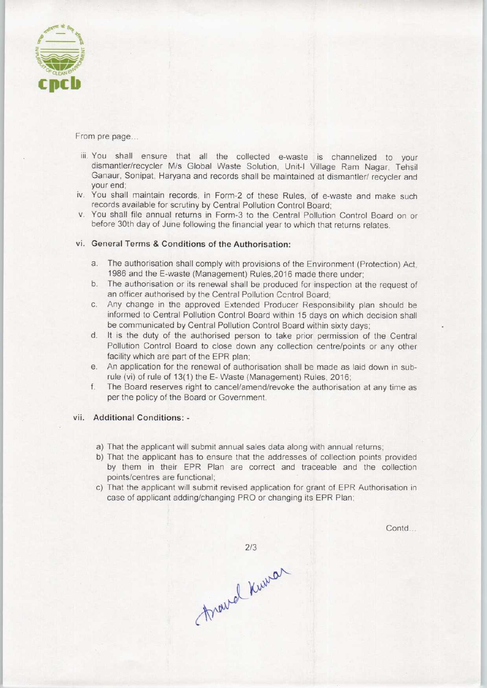

From pre page...

- iii. You shall ensure that all the collected e-waste is channelized to your dismantler/recycler IWs Global Waste Solution, Unit-I Village Ram Nagar, Tehsil Ganaur, Sonipat, Haryana and records shall be maintained at dismantle^ recycler and your end;
- iv. You shall maintain records, in Form-2 of these Rules, of e-waste and make such records available for scrutiny by Central Pollution Control Board;
- v. You shall file annual returns in Form-3 to the Central Pollution Control Board on or before 30th day of June following the financial year to which that returns relates.

#### vi. General Terms & Conditions of the Authorisation:

- a.The authorisation shall comply with provisions of the Environment (Protection) Act, 1986 and the E-waste (Management) Rules,2016 made there under;
- b.The authorisation or its renewal shall be produced for inspection at the request of an officer authorised by the Central Pollution Control Board;
- c.Any change in the approved Extended Producer Responsibility plan should be informed to Central Pollution Control Board within 15 days on which decision shall be communicated by Central Pollution Control Board within sixty days;
- d. It is the duty of the authorised person to take prior permission of the Central Pollution Control Board to close down any collection centre/points or any other facility which are part of the EPR plan;
- e. An application for the renewal of authorisation shall be made as laid down in subrule (vi) of rule of 13(1) the E- Waste (Management) Rules, 2016;
- f. The Board reserves right to cancel/amend/revoke the authorisation at any time as per the policy of the Board or Government.

### vii. Additional Conditions: -

- a) That the applicant will submit annual sales data along with annual returns;
- b) That the applicant has to ensure that the addresses of collection points provided by them in their EPR Plan are correct and traceable and the collection points/centres are functional;
- c) That the applicant will submit revised application for grant of EPR Authorisation in case of applicant adding/changing PRO or changing its EPR Plan;

Contd...

 $2/3$ 

Around Knowar